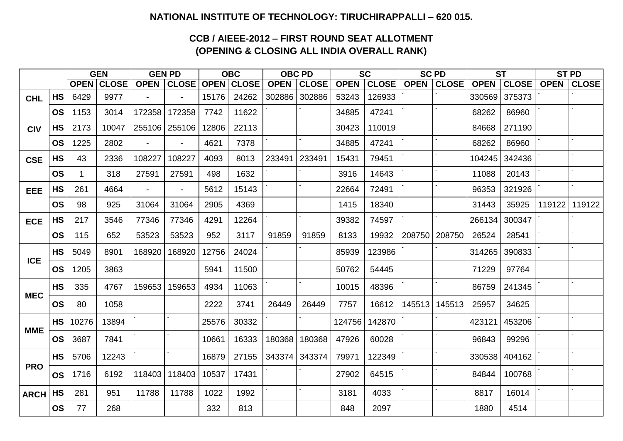### **NATIONAL INSTITUTE OF TECHNOLOGY: TIRUCHIRAPPALLI – 620 015.**

## **CCB / AIEEE-2012 – FIRST ROUND SEAT ALLOTMENT (OPENING & CLOSING ALL INDIA OVERALL RANK)**

|                                                |           | <b>GEN</b> |                   |                | <b>GEN PD</b>  |       | <b>OBC</b>        |             | <b>OBC PD</b> |             | <b>SC</b>    |             | <b>SC PD</b>    |             | <b>ST</b>    |             | <b>ST PD</b> |
|------------------------------------------------|-----------|------------|-------------------|----------------|----------------|-------|-------------------|-------------|---------------|-------------|--------------|-------------|-----------------|-------------|--------------|-------------|--------------|
|                                                |           |            | <b>OPEN CLOSE</b> | <b>OPEN</b>    | <b>CLOSE</b>   |       | <b>OPEN CLOSE</b> | <b>OPEN</b> | <b>CLOSE</b>  | <b>OPEN</b> | <b>CLOSE</b> | <b>OPEN</b> | <b>CLOSE</b>    | <b>OPEN</b> | <b>CLOSE</b> | <b>OPEN</b> | <b>CLOSE</b> |
| <b>CHL</b>                                     | <b>HS</b> | 6429       | 9977              |                | $\sim$         | 15176 | 24262             | 302886      | 302886        | 53243       | 126933       |             |                 | 330569      | 375373       |             |              |
|                                                | <b>OS</b> | 1153       | 3014              | 172358         | 172358         | 7742  | 11622             |             |               | 34885       | 47241        |             |                 | 68262       | 86960        |             |              |
| <b>CIV</b>                                     | <b>HS</b> | 2173       | 10047             | 255106         | 255106         | 12806 | 22113             |             |               | 30423       | 110019       |             |                 | 84668       | 271190       |             |              |
|                                                | <b>OS</b> | 1225       | 2802              | $\blacksquare$ | $\sim$         | 4621  | 7378              |             |               | 34885       | 47241        |             |                 | 68262       | 86960        |             |              |
| <b>CSE</b>                                     | <b>HS</b> | 43         | 2336              | 108227         | 108227         | 4093  | 8013              | 233491      | 233491        | 15431       | 79451        |             |                 | 104245      | 342436       |             |              |
|                                                | <b>OS</b> |            | 318               | 27591          | 27591          | 498   | 1632              |             |               | 3916        | 14643        |             |                 | 11088       | 20143        |             |              |
| <b>EEE</b>                                     | <b>HS</b> | 261        | 4664              | $\blacksquare$ | $\blacksquare$ | 5612  | 15143             |             |               | 22664       | 72491        |             |                 | 96353       | 321926       |             |              |
|                                                | <b>OS</b> | 98         | 925               | 31064          | 31064          | 2905  | 4369              |             |               | 1415        | 18340        |             |                 | 31443       | 35925        | 119122      | 119122       |
| <b>ECE</b>                                     | <b>HS</b> | 217        | 3546              | 77346          | 77346          | 4291  | 12264             |             |               | 39382       | 74597        |             |                 | 266134      | 300347       |             |              |
|                                                | <b>OS</b> | 115        | 652               | 53523          | 53523          | 952   | 3117              | 91859       | 91859         | 8133        | 19932        | 208750      | 208750          | 26524       | 28541        |             |              |
|                                                | <b>HS</b> | 5049       | 8901              | 168920         | 168920         | 12756 | 24024             |             |               | 85939       | 123986       |             |                 | 314265      | 390833       |             |              |
| <b>ICE</b>                                     | <b>OS</b> | 1205       | 3863              |                |                | 5941  | 11500             |             |               | 50762       | 54445        |             |                 | 71229       | 97764        |             |              |
|                                                | <b>HS</b> | 335        | 4767              | 159653         | 159653         | 4934  | 11063             |             |               | 10015       | 48396        |             |                 | 86759       | 241345       |             |              |
| <b>MEC</b>                                     | <b>OS</b> | 80         | 1058              |                |                | 2222  | 3741              | 26449       | 26449         | 7757        | 16612        |             | 145513   145513 | 25957       | 34625        |             |              |
|                                                | <b>HS</b> | 10276      | 13894             |                |                | 25576 | 30332             |             |               | 124756      | 142870       |             |                 | 423121      | 453206       |             |              |
| <b>MME</b>                                     | <b>OS</b> | 3687       | 7841              |                |                | 10661 | 16333             | 180368      | 180368        | 47926       | 60028        |             |                 | 96843       | 99296        |             |              |
|                                                | <b>HS</b> | 5706       | 12243             |                |                | 16879 | 27155             |             | 343374 343374 | 79971       | 122349       |             |                 | 330538      | 404162       |             |              |
| <b>PRO</b>                                     | <b>OS</b> | 1716       | 6192              | 118403         | 118403         | 10537 | 17431             |             |               | 27902       | 64515        |             |                 | 84844       | 100768       |             |              |
| $^{\backprime}$ ARCH $\mid$ HS $_{\backprime}$ |           | 281        | 951               | 11788          | 11788          | 1022  | 1992              |             |               | 3181        | 4033         |             |                 | 8817        | 16014        |             |              |
|                                                | <b>OS</b> | 77         | 268               |                |                | 332   | 813               |             |               | 848         | 2097         |             |                 | 1880        | 4514         |             |              |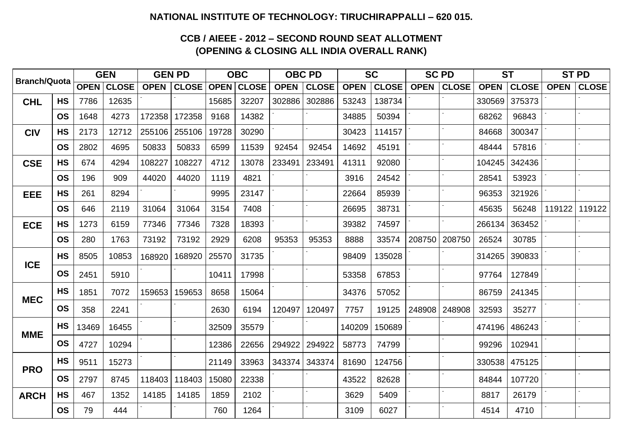### **NATIONAL INSTITUTE OF TECHNOLOGY: TIRUCHIRAPPALLI – 620 015.**

# **CCB / AIEEE - 2012 – SECOND ROUND SEAT ALLOTMENT (OPENING & CLOSING ALL INDIA OVERALL RANK)**

| <b>Branch/Quota</b> |           | <b>GEN</b> |            | <b>GEN PD</b> |                   | <b>OBC</b> |                   |             | <b>OBC PD</b> |             | <b>SC</b>    |             | <b>SC PD</b>    | <b>ST</b>   |               | <b>ST PD</b> |                 |
|---------------------|-----------|------------|------------|---------------|-------------------|------------|-------------------|-------------|---------------|-------------|--------------|-------------|-----------------|-------------|---------------|--------------|-----------------|
|                     |           |            | OPEN CLOSE |               | <b>OPEN CLOSE</b> |            | <b>OPEN CLOSE</b> | <b>OPEN</b> | <b>CLOSE</b>  | <b>OPEN</b> | <b>CLOSE</b> | <b>OPEN</b> | CLOSE           | <b>OPEN</b> | <b>CLOSE</b>  | <b>OPEN</b>  | <b>CLOSE</b>    |
| <b>CHL</b>          | <b>HS</b> | 7786       | 12635      |               |                   | 15685      | 32207             | 302886      | 302886        | 53243       | 138734       |             |                 | 330569      | 375373        |              |                 |
|                     | <b>OS</b> | 1648       | 4273       | 172358        | 172358            | 9168       | 14382             |             |               | 34885       | 50394        |             |                 | 68262       | 96843         |              |                 |
| <b>CIV</b>          | <b>HS</b> | 2173       | 12712      | 255106        | 255106            | 19728      | 30290             |             |               | 30423       | 114157       |             |                 | 84668       | 300347        |              |                 |
|                     | <b>OS</b> | 2802       | 4695       | 50833         | 50833             | 6599       | 11539             | 92454       | 92454         | 14692       | 45191        |             |                 | 48444       | 57816         |              |                 |
| <b>CSE</b>          | <b>HS</b> | 674        | 4294       | 108227        | 108227            | 4712       | 13078             | 233491      | 233491        | 41311       | 92080        |             |                 | 104245      | 342436        |              |                 |
|                     | <b>OS</b> | 196        | 909        | 44020         | 44020             | 1119       | 4821              |             |               | 3916        | 24542        |             |                 | 28541       | 53923         |              |                 |
| <b>EEE</b>          | <b>HS</b> | 261        | 8294       |               |                   | 9995       | 23147             |             |               | 22664       | 85939        |             |                 | 96353       | 321926        |              |                 |
|                     | <b>OS</b> | 646        | 2119       | 31064         | 31064             | 3154       | 7408              |             |               | 26695       | 38731        |             |                 | 45635       | 56248         |              | 119122   119122 |
| <b>ECE</b>          | <b>HS</b> | 1273       | 6159       | 77346         | 77346             | 7328       | 18393             |             |               | 39382       | 74597        |             |                 | 266134      | 363452        |              |                 |
|                     | <b>OS</b> | 280        | 1763       | 73192         | 73192             | 2929       | 6208              | 95353       | 95353         | 8888        | 33574        |             | 208750   208750 | 26524       | 30785         |              |                 |
| <b>ICE</b>          | <b>HS</b> | 8505       | 10853      | 168920        | 168920            | 25570      | 31735             |             |               | 98409       | 135028       |             |                 | 314265      | 390833        |              |                 |
|                     | <b>OS</b> | 2451       | 5910       |               |                   | 10411      | 17998             |             |               | 53358       | 67853        |             |                 | 97764       | 127849        |              |                 |
|                     | <b>HS</b> | 1851       | 7072       | 159653        | 159653            | 8658       | 15064             |             |               | 34376       | 57052        |             |                 | 86759       | 241345        |              |                 |
| <b>MEC</b>          | <b>OS</b> | 358        | 2241       |               |                   | 2630       | 6194              | 120497      | 120497        | 7757        | 19125        |             | 248908   248908 | 32593       | 35277         |              |                 |
|                     | <b>HS</b> | 13469      | 16455      |               |                   | 32509      | 35579             |             |               | 140209      | 150689       |             |                 |             | 474196 486243 |              |                 |
| <b>MME</b>          | <b>OS</b> | 4727       | 10294      |               |                   | 12386      | 22656             |             | 294922 294922 | 58773       | 74799        |             |                 | 99296       | 102941        |              |                 |
|                     | <b>HS</b> | 9511       | 15273      |               |                   | 21149      | 33963             |             | 343374 343374 | 81690       | 124756       |             |                 |             | 330538 475125 |              |                 |
| <b>PRO</b>          | <b>OS</b> | 2797       | 8745       | 118403        | 118403            | 15080      | 22338             |             |               | 43522       | 82628        |             |                 | 84844       | 107720        |              |                 |
| <b>ARCH</b>         | <b>HS</b> | 467        | 1352       | 14185         | 14185             | 1859       | 2102              |             |               | 3629        | 5409         |             |                 | 8817        | 26179         |              |                 |
|                     | OS        | 79         | 444        |               |                   | 760        | 1264              |             |               | 3109        | 6027         |             |                 | 4514        | 4710          |              |                 |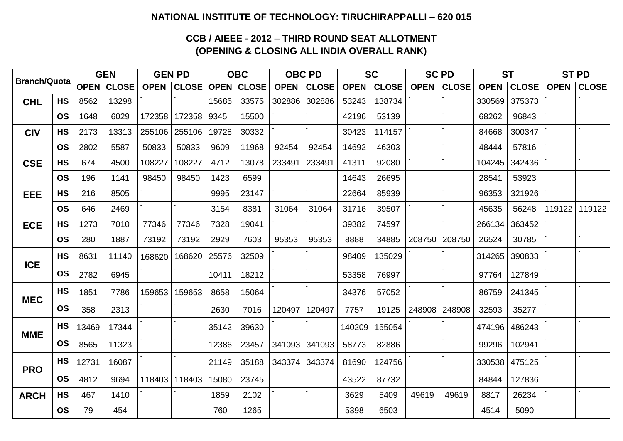### **NATIONAL INSTITUTE OF TECHNOLOGY: TIRUCHIRAPPALLI – 620 015**

## **CCB / AIEEE - 2012 – THIRD ROUND SEAT ALLOTMENT (OPENING & CLOSING ALL INDIA OVERALL RANK)**

| <b>Branch/Quota</b> |           |       | <b>GEN</b>        | <b>GEN PD</b> |              |       | <b>OBC</b>        |             | <b>OBC PD</b> |             | <b>SC</b>    |             | <b>SC PD</b>    |             | <b>ST</b>     | <b>ST PD</b> |               |
|---------------------|-----------|-------|-------------------|---------------|--------------|-------|-------------------|-------------|---------------|-------------|--------------|-------------|-----------------|-------------|---------------|--------------|---------------|
|                     |           |       | <b>OPEN CLOSE</b> | <b>OPEN</b>   | <b>CLOSE</b> |       | <b>OPEN CLOSE</b> | <b>OPEN</b> | <b>CLOSE</b>  | <b>OPEN</b> | <b>CLOSE</b> | <b>OPEN</b> | <b>CLOSE</b>    | <b>OPEN</b> | <b>CLOSE</b>  | <b>OPEN</b>  | $ $ CLOSE $ $ |
| <b>CHL</b>          | <b>HS</b> | 8562  | 13298             |               |              | 15685 | 33575             | 302886      | 302886        | 53243       | 138734       |             |                 | 330569      | 375373        |              |               |
|                     | <b>OS</b> | 1648  | 6029              | 172358        | 172358       | 9345  | 15500             |             |               | 42196       | 53139        |             |                 | 68262       | 96843         |              |               |
| <b>CIV</b>          | <b>HS</b> | 2173  | 13313             | 255106        | 255106       | 19728 | 30332             |             |               | 30423       | 114157       |             |                 | 84668       | 300347        |              |               |
|                     | <b>OS</b> | 2802  | 5587              | 50833         | 50833        | 9609  | 11968             | 92454       | 92454         | 14692       | 46303        |             |                 | 48444       | 57816         |              |               |
| <b>CSE</b>          | <b>HS</b> | 674   | 4500              | 108227        | 108227       | 4712  | 13078             | 233491      | 233491        | 41311       | 92080        |             |                 | 104245      | 342436        |              |               |
|                     | <b>OS</b> | 196   | 1141              | 98450         | 98450        | 1423  | 6599              |             |               | 14643       | 26695        |             |                 | 28541       | 53923         |              |               |
| EEE                 | <b>HS</b> | 216   | 8505              |               |              | 9995  | 23147             |             |               | 22664       | 85939        |             |                 | 96353       | 321926        |              |               |
|                     | <b>OS</b> | 646   | 2469              |               |              | 3154  | 8381              | 31064       | 31064         | 31716       | 39507        |             |                 | 45635       | 56248         | 119122       | 119122        |
| <b>ECE</b>          | <b>HS</b> | 1273  | 7010              | 77346         | 77346        | 7328  | 19041             |             |               | 39382       | 74597        |             |                 | 266134      | 363452        |              |               |
|                     | <b>OS</b> | 280   | 1887              | 73192         | 73192        | 2929  | 7603              | 95353       | 95353         | 8888        | 34885        | 208750      | 208750          | 26524       | 30785         |              |               |
|                     | <b>HS</b> | 8631  | 11140             | 168620        | 168620       | 25576 | 32509             |             |               | 98409       | 135029       |             |                 | 314265      | 390833        |              |               |
| <b>ICE</b>          | <b>OS</b> | 2782  | 6945              |               |              | 10411 | 18212             |             |               | 53358       | 76997        |             |                 | 97764       | 127849        |              |               |
|                     | <b>HS</b> | 1851  | 7786              | 159653        | 159653       | 8658  | 15064             |             |               | 34376       | 57052        |             |                 | 86759       | 241345        |              |               |
| <b>MEC</b>          | <b>OS</b> | 358   | 2313              |               |              | 2630  | 7016              | 120497      | 120497        | 7757        | 19125        |             | 248908   248908 | 32593       | 35277         |              |               |
| <b>MME</b>          | <b>HS</b> | 13469 | 17344             |               |              | 35142 | 39630             |             |               | 140209      | 155054       |             |                 |             | 474196 486243 |              |               |
|                     | <b>OS</b> | 8565  | 11323             |               |              | 12386 | 23457             |             | 341093 341093 | 58773       | 82886        |             |                 | 99296       | 102941        |              |               |
|                     | <b>HS</b> | 12731 | 16087             |               |              | 21149 | 35188             |             | 343374 343374 | 81690       | 124756       |             |                 |             | 330538 475125 |              |               |
| <b>PRO</b>          | <b>OS</b> | 4812  | 9694              | 118403        | 118403       | 15080 | 23745             |             |               | 43522       | 87732        |             |                 | 84844       | 127836        |              |               |
| <b>ARCH</b>         | <b>HS</b> | 467   | 1410              |               |              | 1859  | 2102              |             |               | 3629        | 5409         | 49619       | 49619           | 8817        | 26234         |              |               |
|                     | <b>OS</b> | 79    | 454               |               |              | 760   | 1265              |             |               | 5398        | 6503         |             |                 | 4514        | 5090          |              |               |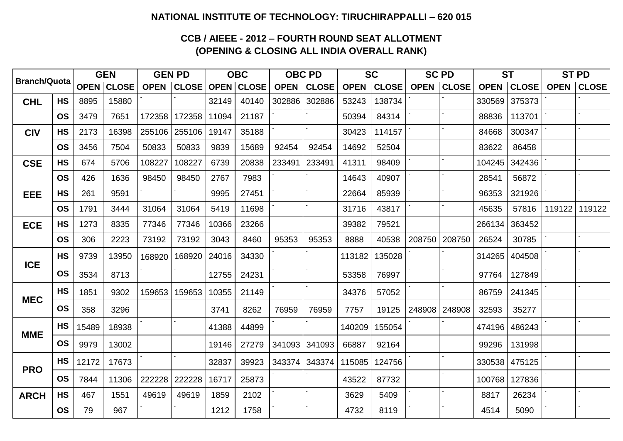### **NATIONAL INSTITUTE OF TECHNOLOGY: TIRUCHIRAPPALLI – 620 015**

# **CCB / AIEEE - 2012 – FOURTH ROUND SEAT ALLOTMENT (OPENING & CLOSING ALL INDIA OVERALL RANK)**

| <b>Branch/Quota</b> |           | <b>GEN</b> |            | <b>GEN PD</b> |                   |       | <b>OBC</b>        |             | <b>OBC PD</b>            |             | <b>SC</b>    |             | <b>SC PD</b>    | <b>ST</b>   |               | <b>ST PD</b> |               |
|---------------------|-----------|------------|------------|---------------|-------------------|-------|-------------------|-------------|--------------------------|-------------|--------------|-------------|-----------------|-------------|---------------|--------------|---------------|
|                     |           |            | OPEN CLOSE |               | <b>OPEN CLOSE</b> |       | <b>OPEN CLOSE</b> | <b>OPEN</b> | <b>CLOSE</b>             | <b>OPEN</b> | <b>CLOSE</b> | <b>OPEN</b> | <b>CLOSE</b>    | <b>OPEN</b> | <b>CLOSE</b>  | <b>OPEN</b>  | $ $ CLOSE $ $ |
| <b>CHL</b>          | <b>HS</b> | 8895       | 15880      |               |                   | 32149 | 40140             | 302886      | 302886                   | 53243       | 138734       |             |                 | 330569      | 375373        |              |               |
|                     | <b>OS</b> | 3479       | 7651       | 172358        | 172358            | 11094 | 21187             |             |                          | 50394       | 84314        |             |                 | 88836       | 113701        |              |               |
| <b>CIV</b>          | <b>HS</b> | 2173       | 16398      | 255106        | 255106            | 19147 | 35188             |             |                          | 30423       | 114157       |             |                 | 84668       | 300347        |              |               |
|                     | <b>OS</b> | 3456       | 7504       | 50833         | 50833             | 9839  | 15689             | 92454       | 92454                    | 14692       | 52504        |             |                 | 83622       | 86458         |              |               |
| <b>CSE</b>          | <b>HS</b> | 674        | 5706       | 108227        | 108227            | 6739  | 20838             | 233491      | 233491                   | 41311       | 98409        |             |                 | 104245      | 342436        |              |               |
|                     | <b>OS</b> | 426        | 1636       | 98450         | 98450             | 2767  | 7983              |             |                          | 14643       | 40907        |             |                 | 28541       | 56872         |              |               |
| <b>EEE</b>          | <b>HS</b> | 261        | 9591       |               |                   | 9995  | 27451             |             |                          | 22664       | 85939        |             |                 | 96353       | 321926        |              |               |
|                     | <b>OS</b> | 1791       | 3444       | 31064         | 31064             | 5419  | 11698             |             |                          | 31716       | 43817        |             |                 | 45635       | 57816         | 119122       | 119122        |
| <b>ECE</b>          | <b>HS</b> | 1273       | 8335       | 77346         | 77346             | 10366 | 23266             |             |                          | 39382       | 79521        |             |                 | 266134      | 363452        |              |               |
|                     | <b>OS</b> | 306        | 2223       | 73192         | 73192             | 3043  | 8460              | 95353       | 95353                    | 8888        | 40538        | 208750      | 208750          | 26524       | 30785         |              |               |
|                     | <b>HS</b> | 9739       | 13950      | 168920        | 168920            | 24016 | 34330             |             |                          | 113182      | 135028       |             |                 | 314265      | 404508        |              |               |
| <b>ICE</b>          | <b>OS</b> | 3534       | 8713       |               |                   | 12755 | 24231             |             |                          | 53358       | 76997        |             |                 | 97764       | 127849        |              |               |
|                     | <b>HS</b> | 1851       | 9302       | 159653        | 159653            | 10355 | 21149             |             |                          | 34376       | 57052        |             |                 | 86759       | 241345        |              |               |
| <b>MEC</b>          | <b>OS</b> | 358        | 3296       |               |                   | 3741  | 8262              | 76959       | 76959                    | 7757        | 19125        |             | 248908   248908 | 32593       | 35277         |              |               |
|                     | <b>HS</b> | 15489      | 18938      |               |                   | 41388 | 44899             |             |                          | 140209      | 155054       |             |                 |             | 474196 486243 |              |               |
| <b>MME</b>          | <b>OS</b> | 9979       | 13002      |               |                   | 19146 | 27279             |             | 341093   341093          | 66887       | 92164        |             |                 | 99296       | 131998        |              |               |
|                     | <b>HS</b> | 12172      | 17673      |               |                   | 32837 | 39923             |             | 343374   343374   115085 |             | 124756       |             |                 |             | 330538 475125 |              |               |
| <b>PRO</b>          | <b>OS</b> | 7844       | 11306      | 222228        | 222228            | 16717 | 25873             |             |                          | 43522       | 87732        |             |                 | 100768      | 127836        |              |               |
| <b>ARCH</b>         | <b>HS</b> | 467        | 1551       | 49619         | 49619             | 1859  | 2102              |             |                          | 3629        | 5409         |             |                 | 8817        | 26234         |              |               |
|                     | <b>OS</b> | 79         | 967        |               |                   | 1212  | 1758              |             |                          | 4732        | 8119         |             |                 | 4514        | 5090          |              |               |